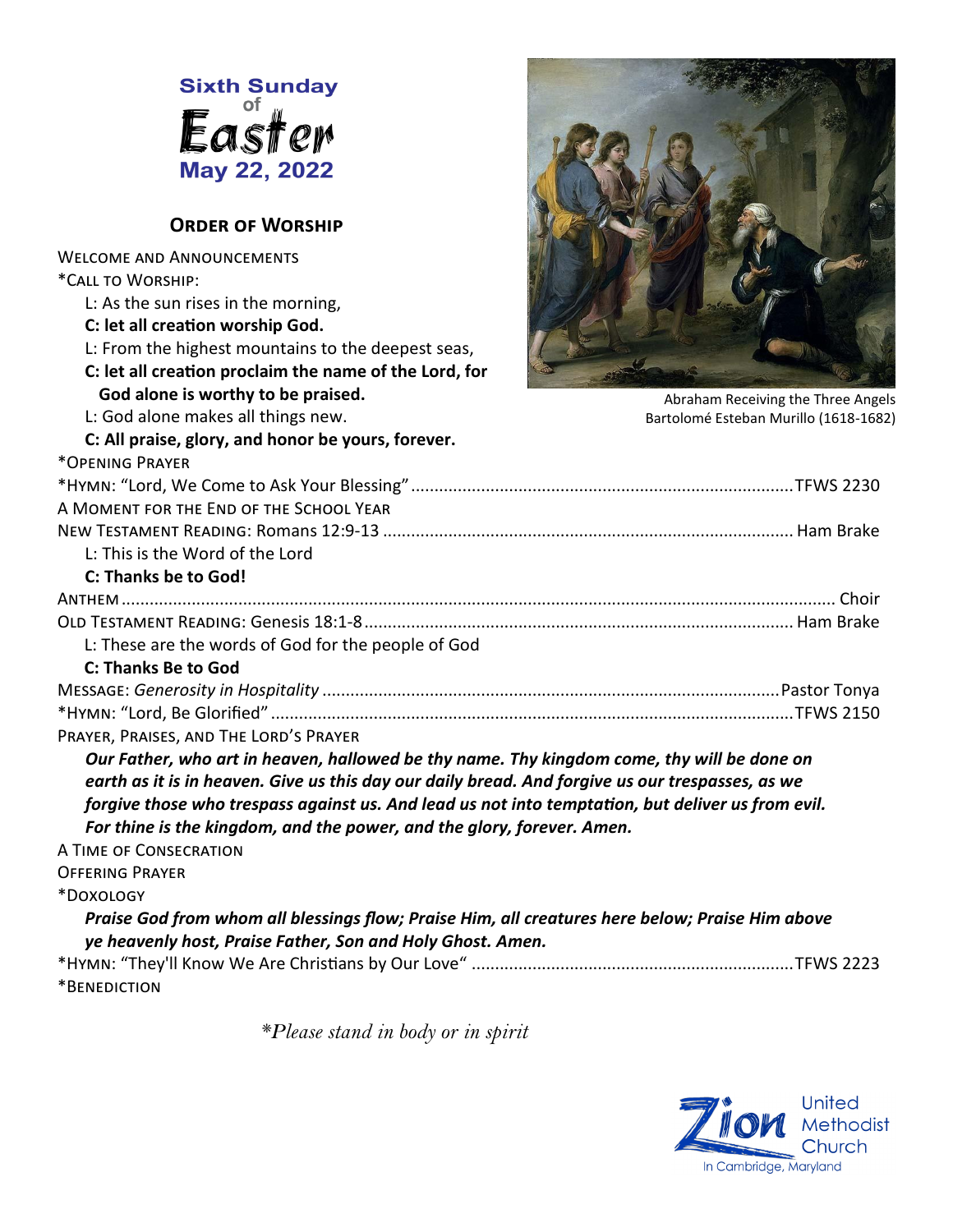

#### **Order of Worship**

Welcome and Announcements

L: As the sun rises in the morning, **C: let all creation worship God.**

**God alone is worthy to be praised.** L: God alone makes all things new.



Abraham Receiving the Three Angels Bartolomé Esteban Murillo (1618-1682)

#### **C: All praise, glory, and honor be yours, forever.**

L: From the highest mountains to the deepest seas, **C: let all creation proclaim the name of the Lord, for** 

\*Opening Prayer

\*Call to Worship:

| A MOMENT FOR THE END OF THE SCHOOL YEAR                                                                                                                                                        |  |
|------------------------------------------------------------------------------------------------------------------------------------------------------------------------------------------------|--|
|                                                                                                                                                                                                |  |
| L: This is the Word of the Lord                                                                                                                                                                |  |
| C: Thanks be to God!                                                                                                                                                                           |  |
|                                                                                                                                                                                                |  |
|                                                                                                                                                                                                |  |
| L: These are the words of God for the people of God                                                                                                                                            |  |
| <b>C: Thanks Be to God</b>                                                                                                                                                                     |  |
|                                                                                                                                                                                                |  |
|                                                                                                                                                                                                |  |
| PRAYER, PRAISES, AND THE LORD'S PRAYER                                                                                                                                                         |  |
| Our Father, who art in heaven, hallowed be thy name. Thy kingdom come, thy will be done on<br>earth as it is in heaven. Give us this day our daily bread. And forgive us our trespasses, as we |  |
| forgive those who trespass against us. And lead us not into temptation, but deliver us from evil.<br>For thine is the kingdom, and the power, and the glory, forever. Amen.                    |  |

A Time of Consecration

Offering Prayer

\*Doxology

### *Praise God from whom all blessings flow; Praise Him, all creatures here below; Praise Him above ye heavenly host, Praise Father, Son and Holy Ghost. Amen.*

\*Hymn: "They'll Know We Are Christians by Our Love" .....................................................................TFWS 2223 \*Benediction

*\*Please stand in body or in spirit*